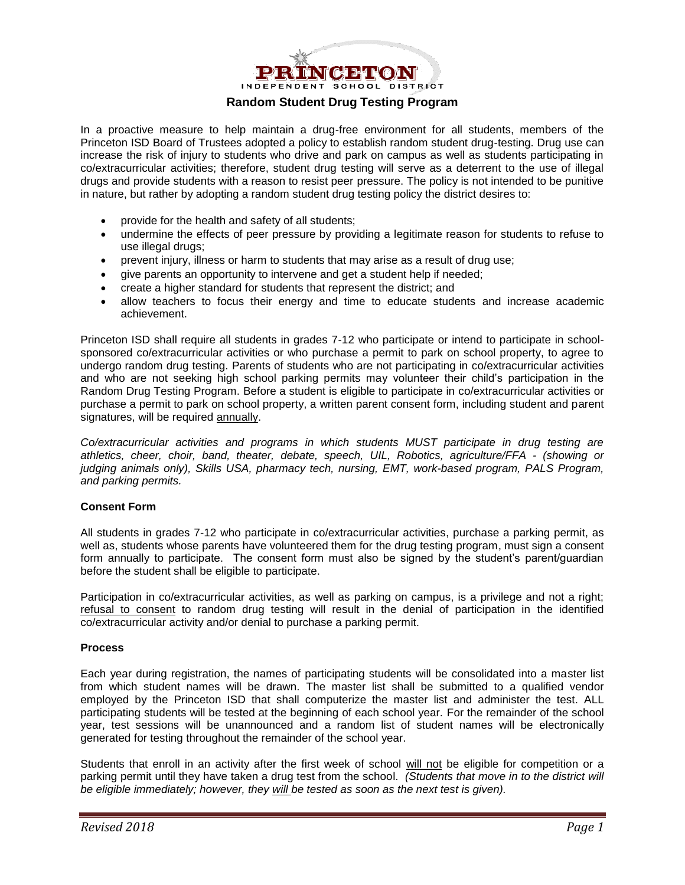

#### **Random Student Drug Testing Program**

In a proactive measure to help maintain a drug-free environment for all students, members of the Princeton ISD Board of Trustees adopted a policy to establish random student drug-testing. Drug use can increase the risk of injury to students who drive and park on campus as well as students participating in co/extracurricular activities; therefore, student drug testing will serve as a deterrent to the use of illegal drugs and provide students with a reason to resist peer pressure. The policy is not intended to be punitive in nature, but rather by adopting a random student drug testing policy the district desires to:

- provide for the health and safety of all students;
- undermine the effects of peer pressure by providing a legitimate reason for students to refuse to use illegal drugs;
- prevent injury, illness or harm to students that may arise as a result of drug use;
- give parents an opportunity to intervene and get a student help if needed;
- create a higher standard for students that represent the district; and
- allow teachers to focus their energy and time to educate students and increase academic achievement.

Princeton ISD shall require all students in grades 7-12 who participate or intend to participate in schoolsponsored co/extracurricular activities or who purchase a permit to park on school property, to agree to undergo random drug testing. Parents of students who are not participating in co/extracurricular activities and who are not seeking high school parking permits may volunteer their child's participation in the Random Drug Testing Program. Before a student is eligible to participate in co/extracurricular activities or purchase a permit to park on school property, a written parent consent form, including student and parent signatures, will be required annually.

*Co/extracurricular activities and programs in which students MUST participate in drug testing are athletics, cheer, choir, band, theater, debate, speech, UIL, Robotics, agriculture/FFA - (showing or judging animals only), Skills USA, pharmacy tech, nursing, EMT, work-based program, PALS Program, and parking permits.*

#### **Consent Form**

All students in grades 7-12 who participate in co/extracurricular activities, purchase a parking permit, as well as, students whose parents have volunteered them for the drug testing program, must sign a consent form annually to participate. The consent form must also be signed by the student's parent/guardian before the student shall be eligible to participate.

Participation in co/extracurricular activities, as well as parking on campus, is a privilege and not a right; refusal to consent to random drug testing will result in the denial of participation in the identified co/extracurricular activity and/or denial to purchase a parking permit.

#### **Process**

Each year during registration, the names of participating students will be consolidated into a master list from which student names will be drawn. The master list shall be submitted to a qualified vendor employed by the Princeton ISD that shall computerize the master list and administer the test. ALL participating students will be tested at the beginning of each school year. For the remainder of the school year, test sessions will be unannounced and a random list of student names will be electronically generated for testing throughout the remainder of the school year.

Students that enroll in an activity after the first week of school will not be eligible for competition or a parking permit until they have taken a drug test from the school. *(Students that move in to the district will be eligible immediately; however, they will be tested as soon as the next test is given).*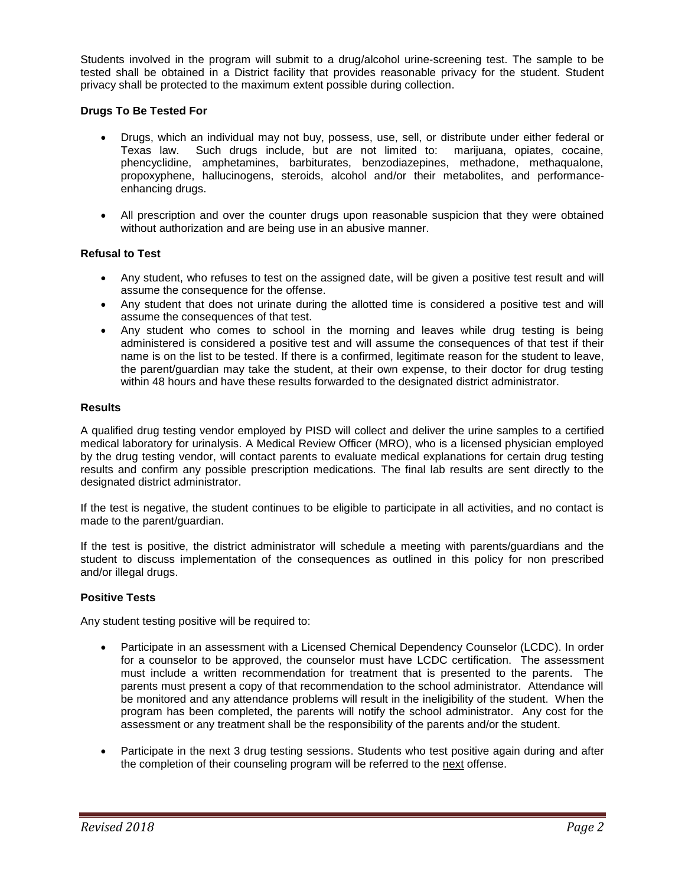Students involved in the program will submit to a drug/alcohol urine-screening test. The sample to be tested shall be obtained in a District facility that provides reasonable privacy for the student. Student privacy shall be protected to the maximum extent possible during collection.

#### **Drugs To Be Tested For**

- Drugs, which an individual may not buy, possess, use, sell, or distribute under either federal or Texas law. Such drugs include, but are not limited to: marijuana, opiates, cocaine, phencyclidine, amphetamines, barbiturates, benzodiazepines, methadone, methaqualone, propoxyphene, hallucinogens, steroids, alcohol and/or their metabolites, and performanceenhancing drugs.
- All prescription and over the counter drugs upon reasonable suspicion that they were obtained without authorization and are being use in an abusive manner.

#### **Refusal to Test**

- Any student, who refuses to test on the assigned date, will be given a positive test result and will assume the consequence for the offense.
- Any student that does not urinate during the allotted time is considered a positive test and will assume the consequences of that test.
- Any student who comes to school in the morning and leaves while drug testing is being administered is considered a positive test and will assume the consequences of that test if their name is on the list to be tested. If there is a confirmed, legitimate reason for the student to leave, the parent/guardian may take the student, at their own expense, to their doctor for drug testing within 48 hours and have these results forwarded to the designated district administrator.

#### **Results**

A qualified drug testing vendor employed by PISD will collect and deliver the urine samples to a certified medical laboratory for urinalysis. A Medical Review Officer (MRO), who is a licensed physician employed by the drug testing vendor, will contact parents to evaluate medical explanations for certain drug testing results and confirm any possible prescription medications. The final lab results are sent directly to the designated district administrator.

If the test is negative, the student continues to be eligible to participate in all activities, and no contact is made to the parent/guardian.

If the test is positive, the district administrator will schedule a meeting with parents/guardians and the student to discuss implementation of the consequences as outlined in this policy for non prescribed and/or illegal drugs.

#### **Positive Tests**

Any student testing positive will be required to:

- Participate in an assessment with a Licensed Chemical Dependency Counselor (LCDC). In order for a counselor to be approved, the counselor must have LCDC certification. The assessment must include a written recommendation for treatment that is presented to the parents. The parents must present a copy of that recommendation to the school administrator. Attendance will be monitored and any attendance problems will result in the ineligibility of the student. When the program has been completed, the parents will notify the school administrator. Any cost for the assessment or any treatment shall be the responsibility of the parents and/or the student.
- Participate in the next 3 drug testing sessions. Students who test positive again during and after the completion of their counseling program will be referred to the next offense.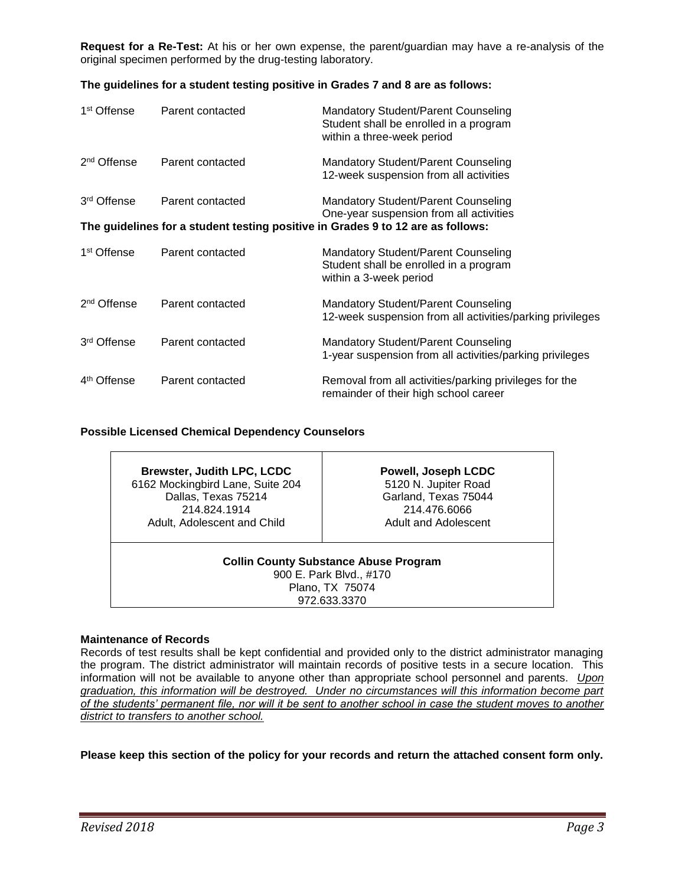**Request for a Re-Test:** At his or her own expense, the parent/guardian may have a re-analysis of the original specimen performed by the drug-testing laboratory.

#### **The guidelines for a student testing positive in Grades 7 and 8 are as follows:**

| 1 <sup>st</sup> Offense                                                         | Parent contacted | Mandatory Student/Parent Counseling<br>Student shall be enrolled in a program<br>within a three-week period    |  |  |
|---------------------------------------------------------------------------------|------------------|----------------------------------------------------------------------------------------------------------------|--|--|
| 2 <sup>nd</sup> Offense                                                         | Parent contacted | <b>Mandatory Student/Parent Counseling</b><br>12-week suspension from all activities                           |  |  |
| 3 <sup>rd</sup> Offense                                                         | Parent contacted | <b>Mandatory Student/Parent Counseling</b><br>One-year suspension from all activities                          |  |  |
| The guidelines for a student testing positive in Grades 9 to 12 are as follows: |                  |                                                                                                                |  |  |
| 1 <sup>st</sup> Offense                                                         | Parent contacted | <b>Mandatory Student/Parent Counseling</b><br>Student shall be enrolled in a program<br>within a 3-week period |  |  |
| 2 <sup>nd</sup> Offense                                                         | Parent contacted | <b>Mandatory Student/Parent Counseling</b><br>12-week suspension from all activities/parking privileges        |  |  |
| 3rd Offense                                                                     | Parent contacted | <b>Mandatory Student/Parent Counseling</b><br>1-year suspension from all activities/parking privileges         |  |  |
| 4 <sup>th</sup> Offense                                                         | Parent contacted | Removal from all activities/parking privileges for the<br>remainder of their high school career                |  |  |

#### **Possible Licensed Chemical Dependency Counselors**

| <b>Brewster, Judith LPC, LCDC</b>                                                                          | Powell, Joseph LCDC         |  |  |  |
|------------------------------------------------------------------------------------------------------------|-----------------------------|--|--|--|
| 6162 Mockingbird Lane, Suite 204                                                                           | 5120 N. Jupiter Road        |  |  |  |
| Dallas, Texas 75214                                                                                        | Garland, Texas 75044        |  |  |  |
| 214.824.1914                                                                                               | 214.476.6066                |  |  |  |
| Adult, Adolescent and Child                                                                                | <b>Adult and Adolescent</b> |  |  |  |
| <b>Collin County Substance Abuse Program</b><br>900 E. Park Blvd., #170<br>Plano, TX 75074<br>972.633.3370 |                             |  |  |  |

#### **Maintenance of Records**

Records of test results shall be kept confidential and provided only to the district administrator managing the program. The district administrator will maintain records of positive tests in a secure location. This information will not be available to anyone other than appropriate school personnel and parents. *Upon graduation, this information will be destroyed. Under no circumstances will this information become part of the students' permanent file, nor will it be sent to another school in case the student moves to another district to transfers to another school.*

**Please keep this section of the policy for your records and return the attached consent form only.**